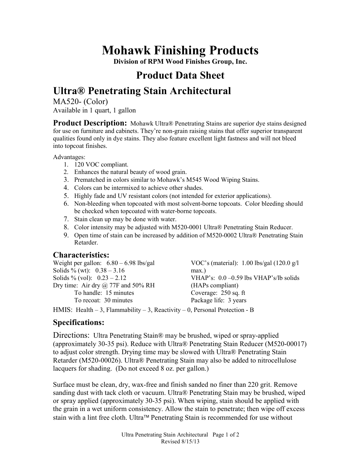# **Mohawk Finishing Products**

**Division of RPM Wood Finishes Group, Inc.** 

### **Product Data Sheet**

## **Ultra® Penetrating Stain Architectural**

MA520- (Color) Available in 1 quart, 1 gallon

**Product Description:** Mohawk Ultra® Penetrating Stains are superior dye stains designed for use on furniture and cabinets. They're non-grain raising stains that offer superior transparent qualities found only in dye stains. They also feature excellent light fastness and will not bleed into topcoat finishes.

Advantages:

- 1. 120 VOC compliant.
- 2. Enhances the natural beauty of wood grain.
- 3. Prematched in colors similar to Mohawk's M545 Wood Wiping Stains.
- 4. Colors can be intermixed to achieve other shades.
- 5. Highly fade and UV resistant colors (not intended for exterior applications).
- 6. Non-bleeding when topcoated with most solvent-borne topcoats. Color bleeding should be checked when topcoated with water-borne topcoats.
- 7. Stain clean up may be done with water.
- 8. Color intensity may be adjusted with M520-0001 Ultra® Penetrating Stain Reducer.
- 9. Open time of stain can be increased by addition of M520-0002 Ultra® Penetrating Stain Retarder.

### **Characteristics:**

| Weight per gallon: $6.80 - 6.98$ lbs/gal  | VOC's (material): $1.00$ lbs/gal (120.0 g/l) |
|-------------------------------------------|----------------------------------------------|
| Solids % (wt): $0.38 - 3.16$              | $max.$ )                                     |
| Solids % (vol): $0.23 - 2.12$             | VHAP's: $0.0 - 0.59$ lbs VHAP's/lb solids    |
| Dry time: Air dry $\omega$ 77F and 50% RH | (HAPs compliant)                             |
| To handle: 15 minutes                     | Coverage: 250 sq. ft                         |
| To recoat: 30 minutes                     | Package life: 3 years                        |
|                                           |                                              |

HMIS: Health  $-3$ , Flammability  $-3$ , Reactivity  $-0$ , Personal Protection - B

### **Specifications:**

Directions: Ultra Penetrating Stain® may be brushed, wiped or spray-applied (approximately 30-35 psi). Reduce with Ultra® Penetrating Stain Reducer (M520-00017) to adjust color strength. Drying time may be slowed with Ultra® Penetrating Stain Retarder (M520-00026). Ultra® Penetrating Stain may also be added to nitrocellulose lacquers for shading. (Do not exceed 8 oz. per gallon.)

Surface must be clean, dry, wax-free and finish sanded no finer than 220 grit. Remove sanding dust with tack cloth or vacuum. Ultra® Penetrating Stain may be brushed, wiped or spray applied (approximately 30-35 psi). When wiping, stain should be applied with the grain in a wet uniform consistency. Allow the stain to penetrate; then wipe off excess stain with a lint free cloth. Ultra™ Penetrating Stain is recommended for use without